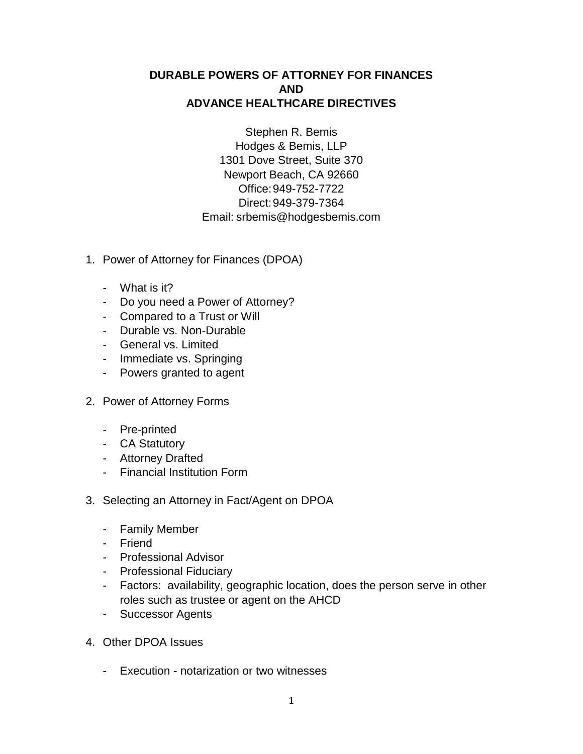## **DURABLE POWERS OF ATTORNEY FOR FINANCES AND ADVANCE HEALTHCARE DIRECTIVES**

Stephen R. Bemis Hodges & Bemis, LLP 1301 Dove Street, Suite 370 Newport Beach, CA 92660 Office:949-752-7722 Direct:949-379-7364 Email: [srbemis@hodgesbemis.com](mailto:srbemis@hodgesbemis.com)

- 1. Power of Attorney for Finances (DPOA)
	- What is it?
	- Do you need a Power of Attorney?
	- Compared to a Trust or Will
	- Durable vs. Non-Durable
	- General vs. Limited
	- Immediate vs. Springing
	- Powers granted to agent
- 2. Power of Attorney Forms
	- Pre-printed
	- CA Statutory
	- Attorney Drafted
	- Financial Institution Form
- 3. Selecting an Attorney in Fact/Agent on DPOA
	- Family Member
	- Friend
	- Professional Advisor
	- Professional Fiduciary
	- Factors: availability, geographic location, does the person serve in other roles such as trustee or agent on the AHCD
	- Successor Agents
- 4. Other DPOA Issues
	- Execution notarization or two witnesses